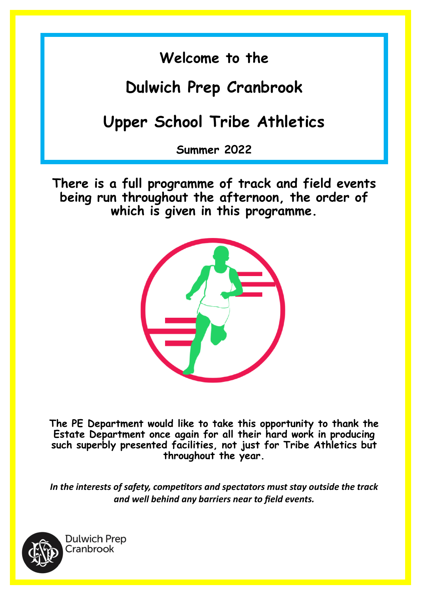## **Welcome to the**

## **Dulwich Prep Cranbrook**

## **Upper School Tribe Athletics**

**Summer 2022**

**There is a full programme of track and field events being run throughout the afternoon, the order of which is given in this programme.** 



**The PE Department would like to take this opportunity to thank the Estate Department once again for all their hard work in producing such superbly presented facilities, not just for Tribe Athletics but throughout the year.**

*In the interests of safety, competitors and spectators must stay outside the track and well behind any barriers near to field events.*



**Dulwich Prep** Cranbrook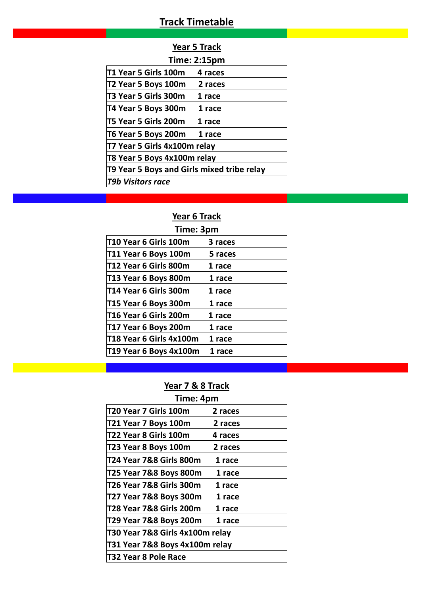### **Track Timetable**

| בפ | -2011 | cк<br>ra<br>а<br>н |
|----|-------|--------------------|
|    |       |                    |

| <b>Time: 2:15pm</b>                        |                              |         |  |  |  |  |  |  |
|--------------------------------------------|------------------------------|---------|--|--|--|--|--|--|
|                                            | T1 Year 5 Girls 100m         | 4 races |  |  |  |  |  |  |
|                                            | T2 Year 5 Boys 100m          | 2 races |  |  |  |  |  |  |
|                                            | T3 Year 5 Girls 300m         | 1 race  |  |  |  |  |  |  |
|                                            | T4 Year 5 Boys 300m          | 1 race  |  |  |  |  |  |  |
|                                            | T5 Year 5 Girls 200m         | 1 race  |  |  |  |  |  |  |
|                                            | T6 Year 5 Boys 200m          | 1 race  |  |  |  |  |  |  |
|                                            | T7 Year 5 Girls 4x100m relay |         |  |  |  |  |  |  |
|                                            | T8 Year 5 Boys 4x100m relay  |         |  |  |  |  |  |  |
| T9 Year 5 Boys and Girls mixed tribe relay |                              |         |  |  |  |  |  |  |
|                                            | T9b Visitors race            |         |  |  |  |  |  |  |

### **Year 6 Track**

| Time: 3pm               |         |  |  |  |  |  |  |
|-------------------------|---------|--|--|--|--|--|--|
| T10 Year 6 Girls 100m   | 3 races |  |  |  |  |  |  |
| T11 Year 6 Boys 100m    | 5 races |  |  |  |  |  |  |
| T12 Year 6 Girls 800m   | 1 race  |  |  |  |  |  |  |
| T13 Year 6 Boys 800m    | 1 race  |  |  |  |  |  |  |
| lT14 Year 6 Girls 300m  | 1 race  |  |  |  |  |  |  |
| T15 Year 6 Boys 300m    | 1 race  |  |  |  |  |  |  |
| T16 Year 6 Girls 200m   | 1 race  |  |  |  |  |  |  |
| T17 Year 6 Boys 200m    | 1 race  |  |  |  |  |  |  |
| T18 Year 6 Girls 4x100m | 1 race  |  |  |  |  |  |  |
| T19 Year 6 Boys 4x100m  | 1 race  |  |  |  |  |  |  |
|                         |         |  |  |  |  |  |  |

### **Year 7 & 8 Track**

| Time: 4pm                       |         |  |
|---------------------------------|---------|--|
| T20 Year 7 Girls 100m           | 2 races |  |
| T21 Year 7 Boys 100m            | 2 races |  |
| T22 Year 8 Girls 100m           | 4 races |  |
| T23 Year 8 Boys 100m            | 2 races |  |
| T24 Year 7&8 Girls 800m         | 1 race  |  |
| T25 Year 7&8 Boys 800m          | 1 race  |  |
| T26 Year 7&8 Girls 300m         | 1 race  |  |
| T27 Year 7&8 Boys 300m          | 1 race  |  |
| T28 Year 7&8 Girls 200m         | 1 race  |  |
| T29 Year 7&8 Boys 200m          | 1 race  |  |
| T30 Year 7&8 Girls 4x100m relay |         |  |
| T31 Year 7&8 Boys 4x100m relay  |         |  |
| T32 Year 8 Pole Race            |         |  |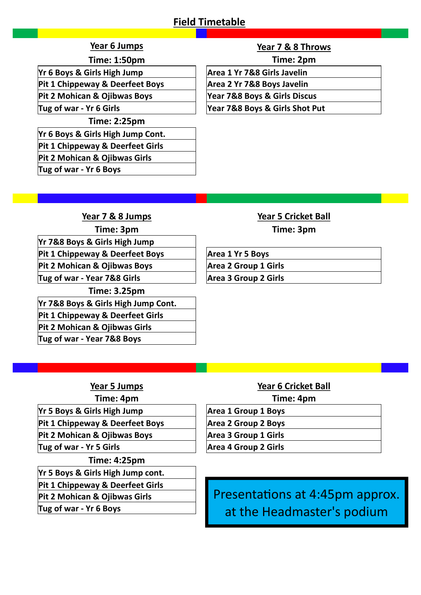### **Field Timetable**

**Time: 1:50pm Time: 2pm**

**Yr 6 Boys & Girls High Jump Area 1 Yr 7&8 Girls Javelin**

**Pit 1 Chippeway & Deerfeet Boys Area 2 Yr 7&8 Boys Javelin**

**Time: 2:25pm**

**Yr 6 Boys & Girls High Jump Cont.**

**Pit 1 Chippeway & Deerfeet Girls**

**Pit 2 Mohican & Ojibwas Girls**

**Tug of war - Yr 6 Boys**

### **Year 6 Jumps Year 7 & 8 Throws**

**Pit 2 Mohican & Ojibwas Boys Year 7&8 Boys & Girls Discus**

**Tug of war - Yr 6 Girls Year 7&8 Boys & Girls Shot Put**

**Year 7 & 8 Jumps Year 5 Cricket Ball Time: 3pm Time: 3pm Yr 7&8 Boys & Girls High Jump** Pit 1 Chippeway & Deerfeet Boys **Area 1 Yr 5 Boys** Pit 2 Mohican & Ojibwas Boys **Area 2 Group 1 Girls Tug of war - Year 7&8 Girls Area 3 Group 2 Girls Time: 3.25pm Yr 7&8 Boys & Girls High Jump Cont. Pit 1 Chippeway & Deerfeet Girls**

**Pit 2 Mohican & Ojibwas Girls Tug of war - Year 7&8 Boys**

**Yr 5 Boys & Girls High Jump Area 1 Group 1 Boys** 

**Pit 1 Chippeway & Deerfeet Boys Area 2 Group 2 Boys**

Pit 2 Mohican & Ojibwas Boys **Area 3 Group 1 Girls** 

**Time: 4:25pm**

**Yr 5 Boys & Girls High Jump cont.**

**Pit 1 Chippeway & Deerfeet Girls**

**Pit 2 Mohican & Ojibwas Girls**

**Tug of war - Yr 6 Boys**

# **Year 5 Jumps Year 6 Cricket Ball Time: 4pm Time: 4pm Tug of war - Yr 5 Girls Area 4 Group 2 Girls**

Presentations at 4:45pm approx. at the Headmaster's podium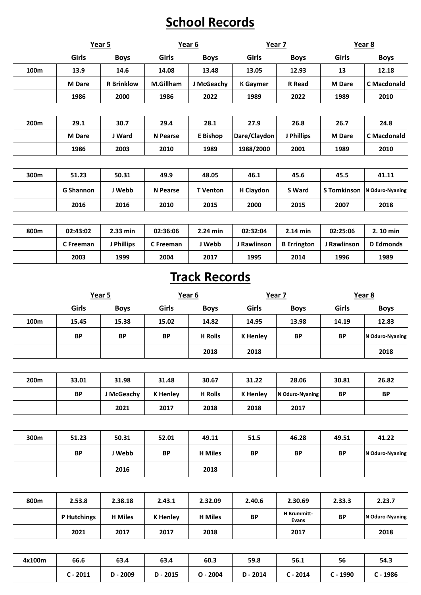## **School Records**

|                  | Year 5           |                   | Year 6          |                 | Year 7          |               | Year 8             |                    |
|------------------|------------------|-------------------|-----------------|-----------------|-----------------|---------------|--------------------|--------------------|
|                  | Girls            | <b>Boys</b>       | Girls           | <b>Boys</b>     | Girls           | <b>Boys</b>   | Girls              | <b>Boys</b>        |
| 100m             | 13.9             | 14.6              | 14.08           | 13.48           | 13.05           | 12.93         | 13                 | 12.18              |
|                  | <b>M</b> Dare    | <b>R</b> Brinklow | M.Gillham       | J McGeachy      | <b>K</b> Gaymer | <b>R</b> Read | <b>M</b> Dare      | <b>C</b> Macdonald |
|                  | 1986             | 2000              | 1986            | 2022            | 1989            | 2022          | 1989               | 2010               |
|                  |                  |                   |                 |                 |                 |               |                    |                    |
| 200 <sub>m</sub> | 29.1             | 30.7              | 29.4            | 28.1            | 27.9            | 26.8          | 26.7               | 24.8               |
|                  | <b>M</b> Dare    | J Ward            | <b>N</b> Pearse | E Bishop        | Dare/Claydon    | J Phillips    | <b>M</b> Dare      | <b>C</b> Macdonald |
|                  | 1986             | 2003              | 2010            | 1989            | 1988/2000       | 2001          | 1989               | 2010               |
|                  |                  |                   |                 |                 |                 |               |                    |                    |
| 300m             | 51.23            | 50.31             | 49.9            | 48.05           | 46.1            | 45.6          | 45.5               | 41.11              |
|                  | <b>G Shannon</b> | J Webb            | <b>N</b> Pearse | <b>T</b> Venton | H Claydon       | <b>S</b> Ward | <b>S</b> Tomkinson | N Oduro-Nyaning    |
|                  | 2016             | 2016              | 2010            | 2015            | 2000            | 2015          | 2007               | 2018               |

| 800m | 02:43:02  | $2.33$ min      | 02:36:06  | 2.24 min | 02:32:04    | $2.14$ min         | 02:25:06    | 2.10 min         |
|------|-----------|-----------------|-----------|----------|-------------|--------------------|-------------|------------------|
|      | C Freeman | <b>Phillips</b> | C Freeman | ∣ Webb   | J Rawlinson | <b>B</b> Errington | J Rawlinson | <b>D</b> Edmonds |
|      | 2003      | 1999            | 2004      | 2017     | 1995        | 2014               | 1996        | 1989             |

## **Track Records**

|      | Year 5    |             | Year 6    |                | Year 7          |             | Year 8    |                 |
|------|-----------|-------------|-----------|----------------|-----------------|-------------|-----------|-----------------|
|      | Girls     | <b>Boys</b> | Girls     | <b>Boys</b>    | Girls           | <b>Boys</b> | Girls     | <b>Boys</b>     |
| 100m | 15.45     | 15.38       | 15.02     | 14.82          | 14.95           | 13.98       | 14.19     | 12.83           |
|      | <b>BP</b> | <b>BP</b>   | <b>BP</b> | <b>H</b> Rolls | <b>K</b> Henley | <b>BP</b>   | <b>BP</b> | N Oduro-Nyaning |
|      |           |             |           | 2018           | 2018            |             |           | 2018            |

| 200m | 33.01 | 31.98      | 31.48           | 30.67          | 31.22           | 28.06           | 30.81 | 26.82     |
|------|-------|------------|-----------------|----------------|-----------------|-----------------|-------|-----------|
|      | BP    | J McGeachy | <b>K</b> Henley | <b>H</b> Rolls | <b>K</b> Henley | N Oduro-Nyaning | ΒP    | <b>BP</b> |
|      |       | 2021       | 2017            | 2018           | 2018            | 2017            |       |           |

| 300m | 51.23     | 50.31  | 52.01     | 49.11          | 51.5      | 46.28 | 49.51     | 41.22           |
|------|-----------|--------|-----------|----------------|-----------|-------|-----------|-----------------|
|      | <b>BP</b> | J Webb | <b>BP</b> | <b>H</b> Miles | <b>BP</b> | ВP    | <b>BP</b> | N Oduro-Nyaning |
|      |           | 2016   |           | 2018           |           |       |           |                 |

| 800m | 2.53.8             | 2.38.18        | 2.43.1          | 2.32.09        | 2.40.6    | 2.30.69              | 2.33.3    | 2.23.7          |
|------|--------------------|----------------|-----------------|----------------|-----------|----------------------|-----------|-----------------|
|      | <b>P</b> Hutchings | <b>H</b> Miles | <b>K</b> Henley | <b>H</b> Miles | <b>BP</b> | H Brummitt-<br>Evans | <b>BP</b> | N Oduro-Nyaning |
|      | 2021               | 2017           | 2017            | 2018           |           | 2017                 |           | 2018            |

| 4x100m | 66.6           | 63.4       | 63.4       | 60.3       | 59.8       | 56.1     | 56       | 54.3 |
|--------|----------------|------------|------------|------------|------------|----------|----------|------|
|        | $\cdot$ - 2011 | 2009<br>D. | $D - 2015$ | $O - 2004$ | $D - 2014$ | : - 2014 | : - 1990 | 1986 |